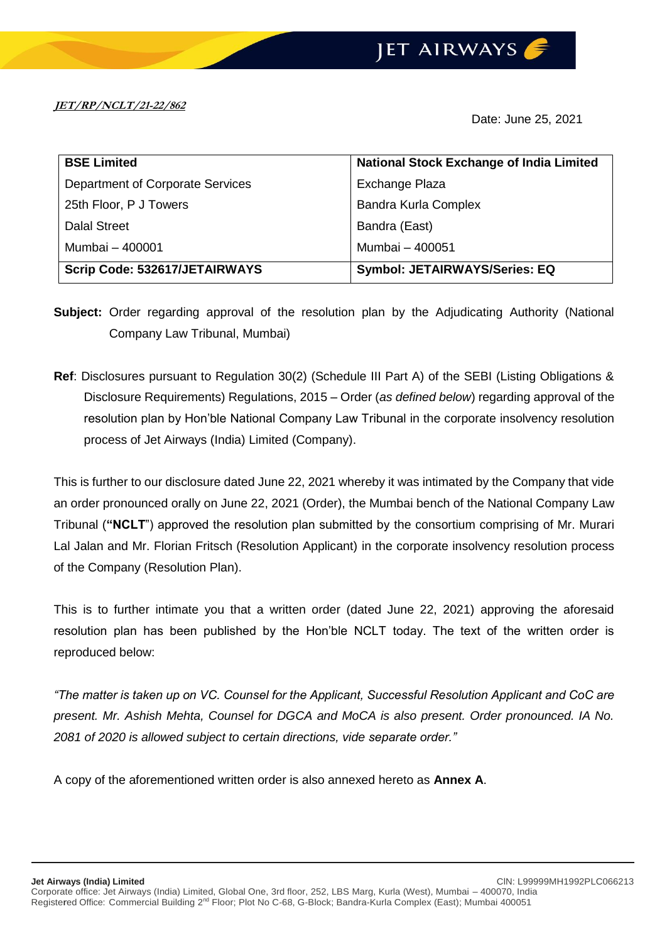**JET/RP/NCLT/21-22/862**

Date: June 25, 2021

| <b>BSE Limited</b>               | <b>National Stock Exchange of India Limited</b> |
|----------------------------------|-------------------------------------------------|
| Department of Corporate Services | Exchange Plaza                                  |
| 25th Floor, P J Towers           | <b>Bandra Kurla Complex</b>                     |
| <b>Dalal Street</b>              | Bandra (East)                                   |
| Mumbai - 400001                  | Mumbai - 400051                                 |
| Scrip Code: 532617/JETAIRWAYS    | <b>Symbol: JETAIRWAYS/Series: EQ</b>            |

- **Subject:** Order regarding approval of the resolution plan by the Adjudicating Authority (National Company Law Tribunal, Mumbai)
- **Ref**: Disclosures pursuant to Regulation 30(2) (Schedule III Part A) of the SEBI (Listing Obligations & Disclosure Requirements) Regulations, 2015 – Order (*as defined below*) regarding approval of the resolution plan by Hon'ble National Company Law Tribunal in the corporate insolvency resolution process of Jet Airways (India) Limited (Company).

This is further to our disclosure dated June 22, 2021 whereby it was intimated by the Company that vide an order pronounced orally on June 22, 2021 (Order), the Mumbai bench of the National Company Law Tribunal (**"NCLT**") approved the resolution plan submitted by the consortium comprising of Mr. Murari Lal Jalan and Mr. Florian Fritsch (Resolution Applicant) in the corporate insolvency resolution process of the Company (Resolution Plan).

This is to further intimate you that a written order (dated June 22, 2021) approving the aforesaid resolution plan has been published by the Hon'ble NCLT today. The text of the written order is reproduced below:

*"The matter is taken up on VC. Counsel for the Applicant, Successful Resolution Applicant and CoC are present. Mr. Ashish Mehta, Counsel for DGCA and MoCA is also present. Order pronounced. IA No. 2081 of 2020 is allowed subject to certain directions, vide separate order."*

A copy of the aforementioned written order is also annexed hereto as **Annex A**.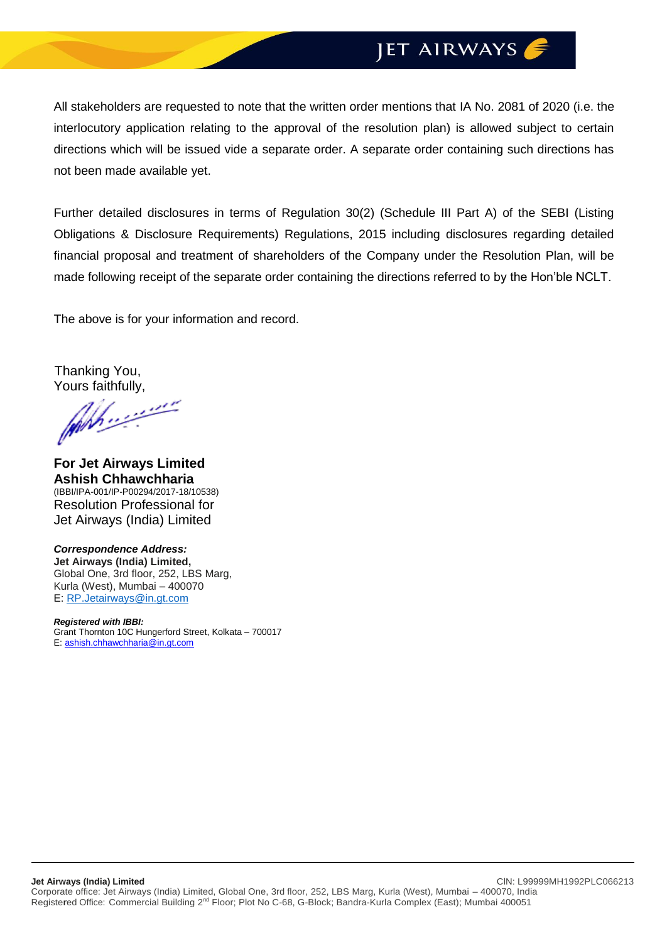## JET AIRWAYS

All stakeholders are requested to note that the written order mentions that IA No. 2081 of 2020 (i.e. the interlocutory application relating to the approval of the resolution plan) is allowed subject to certain directions which will be issued vide a separate order. A separate order containing such directions has not been made available yet.

Further detailed disclosures in terms of Regulation 30(2) (Schedule III Part A) of the SEBI (Listing Obligations & Disclosure Requirements) Regulations, 2015 including disclosures regarding detailed financial proposal and treatment of shareholders of the Company under the Resolution Plan, will be made following receipt of the separate order containing the directions referred to by the Hon'ble NCLT.

The above is for your information and record.

Thanking You,

Yours faithfully,

**For Jet Airways Limited Ashish Chhawchharia** (IBBI/IPA-001/IP-P00294/2017-18/10538) Resolution Professional for Jet Airways (India) Limited

*Correspondence Address:* **Jet Airways (India) Limited,** Global One, 3rd floor, 252, LBS Marg, Kurla (West), Mumbai – 400070 E: [RP.Jetairways@in.gt.com](mailto:RP.Jetairways@in.gt.com)

*Registered with IBBI:* Grant Thornton 10C Hungerford Street, Kolkata – 700017 E: [ashish.chhawchharia@in.gt.com](mailto:ashish.chhawchharia@in.gt.com)